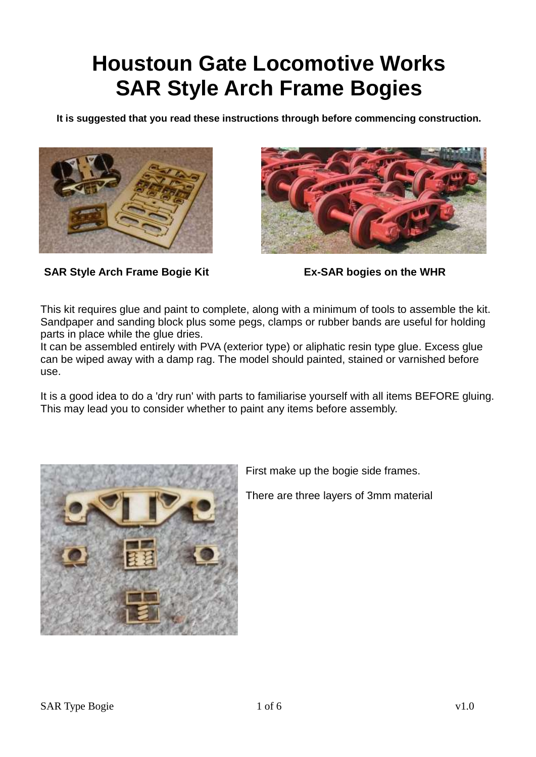## **Houstoun Gate Locomotive Works SAR Style Arch Frame Bogies**

**It is suggested that you read these instructions through before commencing construction.**





**SAR Style Arch Frame Bogie Kit Ex-SAR bogies on the WHR**

This kit requires glue and paint to complete, along with a minimum of tools to assemble the kit. Sandpaper and sanding block plus some pegs, clamps or rubber bands are useful for holding parts in place while the glue dries.

It can be assembled entirely with PVA (exterior type) or aliphatic resin type glue. Excess glue can be wiped away with a damp rag. The model should painted, stained or varnished before use.

It is a good idea to do a 'dry run' with parts to familiarise yourself with all items BEFORE gluing. This may lead you to consider whether to paint any items before assembly.



First make up the bogie side frames.

There are three layers of 3mm material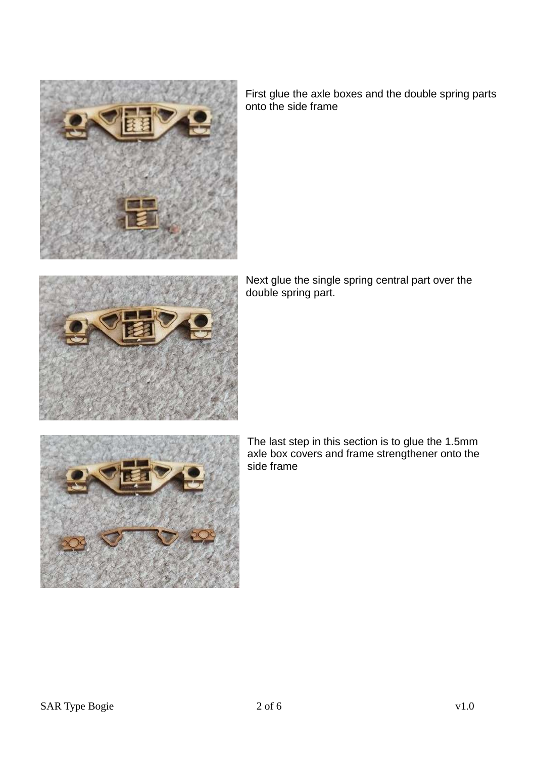

First glue the axle boxes and the double spring parts onto the side frame



Next glue the single spring central part over the double spring part.



The last step in this section is to glue the 1.5mm axle box covers and frame strengthener onto the side frame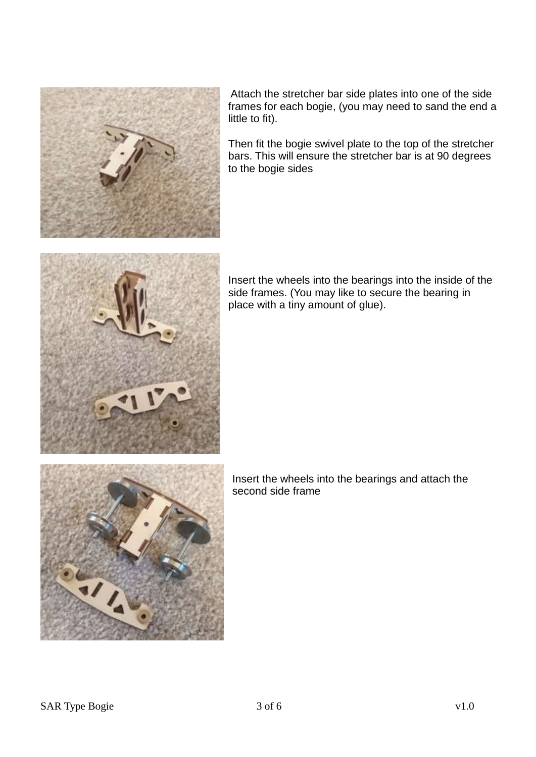

Attach the stretcher bar side plates into one of the side frames for each bogie, (you may need to sand the end a little to fit).

Then fit the bogie swivel plate to the top of the stretcher bars. This will ensure the stretcher bar is at 90 degrees to the bogie sides



Insert the wheels into the bearings into the inside of the side frames. (You may like to secure the bearing in place with a tiny amount of glue).



Insert the wheels into the bearings and attach the second side frame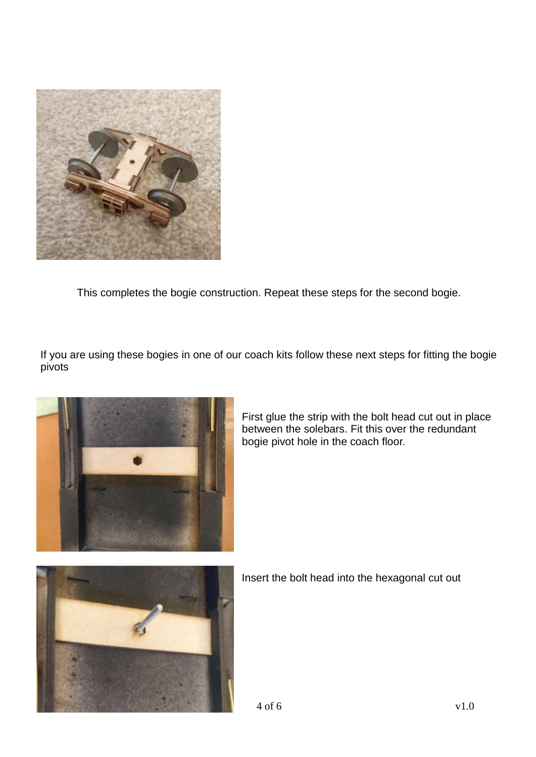

This completes the bogie construction. Repeat these steps for the second bogie.

If you are using these bogies in one of our coach kits follow these next steps for fitting the bogie pivots



First glue the strip with the bolt head cut out in place between the solebars. Fit this over the redundant bogie pivot hole in the coach floor.



Insert the bolt head into the hexagonal cut out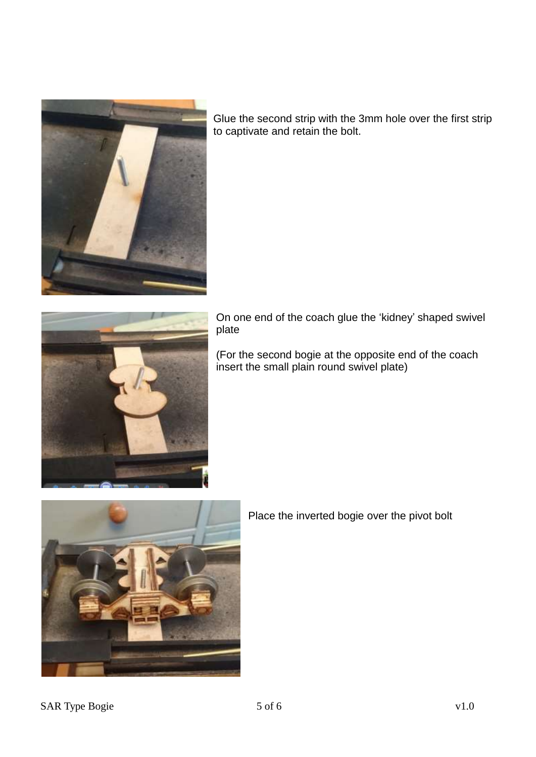

Glue the second strip with the 3mm hole over the first strip to captivate and retain the bolt.



On one end of the coach glue the 'kidney' shaped swivel plate

(For the second bogie at the opposite end of the coach insert the small plain round swivel plate)



Place the inverted bogie over the pivot bolt